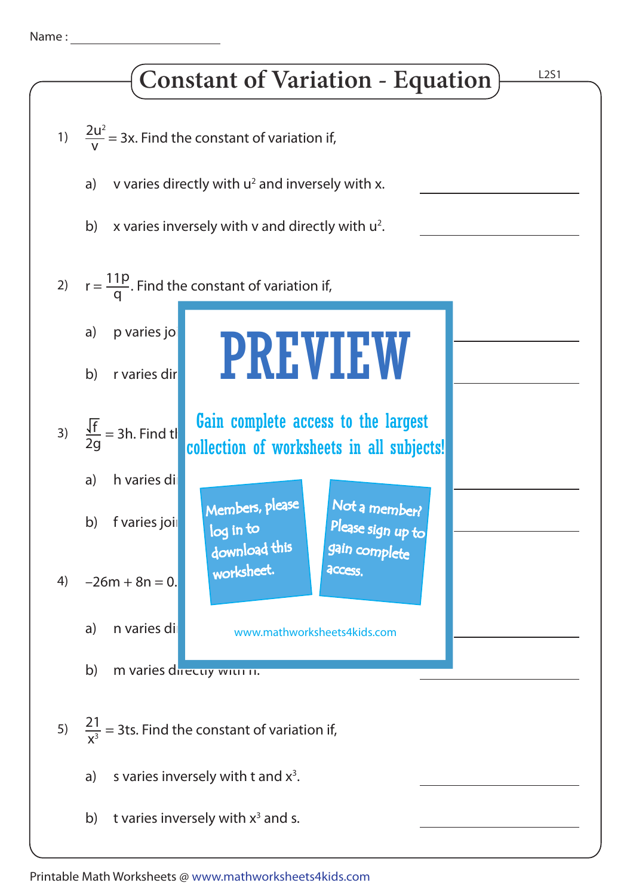